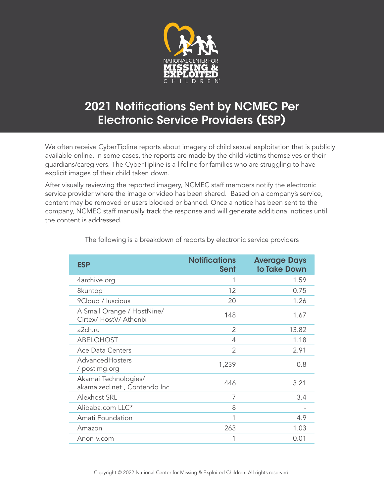

## 2021 Notifications Sent by NCMEC Per Electronic Service Providers (ESP)

We often receive CyberTipline reports about imagery of child sexual exploitation that is publicly available online. In some cases, the reports are made by the child victims themselves or their guardians/caregivers. The CyberTipline is a lifeline for families who are struggling to have explicit images of their child taken down.

After visually reviewing the reported imagery, NCMEC staff members notify the electronic service provider where the image or video has been shared. Based on a company's service, content may be removed or users blocked or banned. Once a notice has been sent to the company, NCMEC staff manually track the response and will generate additional notices until the content is addressed.

| <b>ESP</b>                                           | <b>Notifications</b><br>Sent | <b>Average Days</b><br>to Take Down |
|------------------------------------------------------|------------------------------|-------------------------------------|
| 4archive.org                                         | 1                            | 1.59                                |
| 8kuntop                                              | 12                           | 0.75                                |
| 9Cloud / luscious                                    | 20                           | 1.26                                |
| A Small Orange / HostNine/<br>Cirtex/ HostV/ Athenix | 148                          | 1.67                                |
| a2ch.ru                                              | 2                            | 13.82                               |
| <b>ABELOHOST</b>                                     | 4                            | 1.18                                |
| <b>Ace Data Centers</b>                              | 2                            | 2.91                                |
| AdvancedHosters<br>/ postimg.org                     | 1,239                        | 0.8                                 |
| Akamai Technologies/<br>akamaized.net, Contendo Inc  | 446                          | 3.21                                |
| Alexhost SRL                                         | 7                            | 3.4                                 |
| Alibaba.com LLC*                                     | 8                            |                                     |
| Amati Foundation                                     | 1                            | 4.9                                 |
| Amazon                                               | 263                          | 1.03                                |
| Anon-v.com                                           | 1                            | 0.01                                |

The following is a breakdown of reports by electronic service providers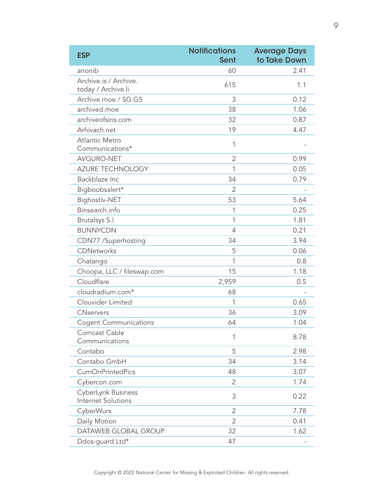| <b>ESP</b>                                      | <b>Notifications</b><br><b>Sent</b> | <b>Average Days</b><br>to Take Down |
|-------------------------------------------------|-------------------------------------|-------------------------------------|
| anonib                                          | 60                                  | 2.41                                |
| Archive.is / Archive.<br>today / Archive.li     | 615                                 | 1.1                                 |
| Archive.moe / SG.GS                             | 3                                   | 0.12                                |
| archived.moe                                    | 38                                  | 1.06                                |
| archiveofsins.com                               | 32                                  | 0.87                                |
| Arhivach.net                                    | 19                                  | 4.47                                |
| <b>Atlantic Metro</b><br>Communications*        | 1                                   |                                     |
| AVGURO-NET                                      | $\overline{2}$                      | 0.99                                |
| <b>AZURE TECHNOLOGY</b>                         | 1                                   | 0.05                                |
| Backblaze Inc                                   | 34                                  | 0.79                                |
| Bigboobsalert*                                  | $\overline{2}$                      |                                     |
| Bighostlv-NET                                   | 53                                  | 5.64                                |
| Binsearch.info                                  | 1                                   | 0.25                                |
| Brutalsys S.l.                                  | 1                                   | 1.81                                |
| <b>BUNNYCDN</b>                                 | $\overline{4}$                      | 0.21                                |
| CDN77 /Superhosting                             | 34                                  | 3.94                                |
| <b>CDNetworks</b>                               | 5                                   | 0.06                                |
| Chatango                                        | 1                                   | 0.8                                 |
| Choopa, LLC / fileswap.com                      | 15                                  | 1.18                                |
| Cloudflare                                      | 2,959                               | 0.5                                 |
| cloudradium.com*                                | 68                                  |                                     |
| Clouvider Limited                               | 1                                   | 0.65                                |
| <b>CNservers</b>                                | 36                                  | 3.09                                |
| <b>Cogent Communications</b>                    | 64                                  | 1.04                                |
| Comcast Cable<br>Communications                 | 1                                   | 8.78                                |
| Contabo                                         | 5                                   | 2.98                                |
| Contabo GmbH                                    | 34                                  | 3.14                                |
| <b>CumOnPrintedPics</b>                         | 48                                  | 3.07                                |
| Cybercon.com                                    | 2                                   | 1.74                                |
| CyberLynk Business<br><b>Internet Solutions</b> | 3                                   | 0.22                                |
| CyberWurx                                       | $\overline{2}$                      | 7.78                                |
| Daily Motion                                    | 2                                   | 0.41                                |
| DATAWEB GLOBAL GROUP                            | 32                                  | 1.62                                |
| Ddos-guard Ltd*                                 | 47                                  |                                     |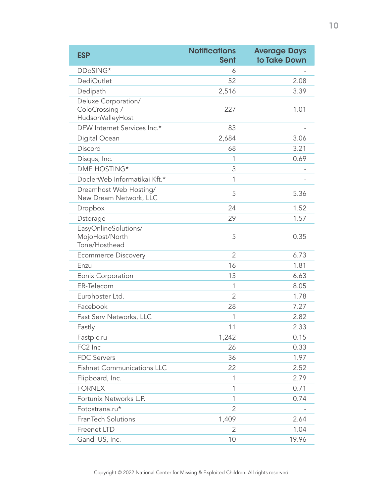| <b>ESP</b>                                                | <b>Notifications</b><br><b>Sent</b> | <b>Average Days</b><br>to Take Down |
|-----------------------------------------------------------|-------------------------------------|-------------------------------------|
| DDoSING*                                                  | 6                                   |                                     |
| <b>DediOutlet</b>                                         | 52                                  | 2.08                                |
| Dedipath                                                  | 2,516                               | 3.39                                |
| Deluxe Corporation/<br>ColoCrossing /<br>HudsonValleyHost | 227                                 | 1.01                                |
| DFW Internet Services Inc.*                               | 83                                  |                                     |
| Digital Ocean                                             | 2,684                               | 3.06                                |
| Discord                                                   | 68                                  | 3.21                                |
| Disqus, Inc.                                              | 1                                   | 0.69                                |
| DME HOSTING*                                              | 3                                   |                                     |
| DoclerWeb Informatikai Kft.*                              | 1                                   |                                     |
| Dreamhost Web Hosting/<br>New Dream Network, LLC          | 5                                   | 5.36                                |
| Dropbox                                                   | 24                                  | 1.52                                |
| Dstorage                                                  | 29                                  | 1.57                                |
| EasyOnlineSolutions/<br>MojoHost/North<br>Tone/Hosthead   | 5                                   | 0.35                                |
| <b>Ecommerce Discovery</b>                                | $\overline{2}$                      | 6.73                                |
| Enzu                                                      | 16                                  | 1.81                                |
| Eonix Corporation                                         | 13                                  | 6.63                                |
| ER-Telecom                                                | 1                                   | 8.05                                |
| Eurohoster Ltd.                                           | $\overline{2}$                      | 1.78                                |
| Facebook                                                  | 28                                  | 7.27                                |
| Fast Serv Networks, LLC                                   | 1                                   | 2.82                                |
| Fastly                                                    | 11                                  | 2.33                                |
| Fastpic.ru                                                | 1,242                               | 0.15                                |
| FC2 Inc                                                   | 26                                  | 0.33                                |
| <b>FDC Servers</b>                                        | 36                                  | 1.97                                |
| <b>Fishnet Communications LLC</b>                         | 22                                  | 2.52                                |
| Flipboard, Inc.                                           | 1                                   | 2.79                                |
| <b>FORNEX</b>                                             | 1                                   | 0.71                                |
| Fortunix Networks L.P.                                    | 1                                   | 0.74                                |
| Fotostrana.ru*                                            | 2                                   |                                     |
| FranTech Solutions                                        | 1,409                               | 2.64                                |
| Freenet LTD                                               | $\overline{2}$                      | 1.04                                |
| Gandi US, Inc.                                            | 10                                  | 19.96                               |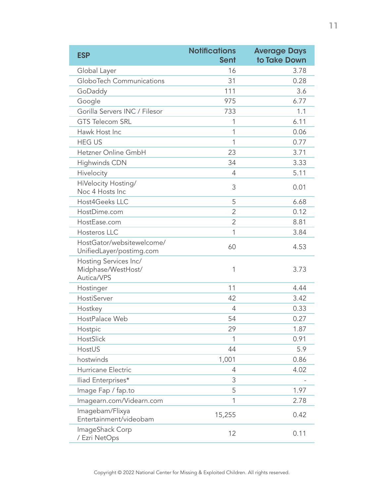| <b>ESP</b>                                                | <b>Notifications</b><br><b>Sent</b> | <b>Average Days</b><br>to Take Down |
|-----------------------------------------------------------|-------------------------------------|-------------------------------------|
| Global Layer                                              | 16                                  | 3.78                                |
| <b>GloboTech Communications</b>                           | 31                                  | 0.28                                |
| GoDaddy                                                   | 111                                 | 3.6                                 |
| Google                                                    | 975                                 | 6.77                                |
| Gorilla Servers INC / Filesor                             | 733                                 | 1.1                                 |
| <b>GTS Telecom SRL</b>                                    | 1                                   | 6.11                                |
| Hawk Host Inc                                             | 1                                   | 0.06                                |
| <b>HEG US</b>                                             | 1                                   | 0.77                                |
| Hetzner Online GmbH                                       | 23                                  | 3.71                                |
| <b>Highwinds CDN</b>                                      | 34                                  | 3.33                                |
| Hivelocity                                                | $\overline{4}$                      | 5.11                                |
| HiVelocity Hosting/<br>Noc 4 Hosts Inc                    | 3                                   | 0.01                                |
| Host4Geeks LLC                                            | 5                                   | 6.68                                |
| HostDime.com                                              | 2                                   | 0.12                                |
| HostEase.com                                              | $\overline{2}$                      | 8.81                                |
| Hosteros LLC                                              | 1                                   | 3.84                                |
| HostGator/websitewelcome/<br>UnifiedLayer/postimg.com     | 60                                  | 4.53                                |
| Hosting Services Inc/<br>Midphase/WestHost/<br>Autica/VPS | 1                                   | 3.73                                |
| Hostinger                                                 | 11                                  | 4.44                                |
| HostiServer                                               | 42                                  | 3.42                                |
| Hostkey                                                   | $\overline{4}$                      | 0.33                                |
| HostPalace Web                                            | 54                                  | 0.27                                |
| Hostpic                                                   | 29                                  | 1.87                                |
| HostSlick                                                 | 1                                   | 0.91                                |
| HostUS                                                    | 44                                  | 5.9                                 |
| hostwinds                                                 | 1,001                               | 0.86                                |
| Hurricane Electric                                        | 4                                   | 4.02                                |
| Iliad Enterprises*                                        | 3                                   |                                     |
| Image Fap / fap.to                                        | 5                                   | 1.97                                |
| Imagearn.com/Videarn.com                                  | 1                                   | 2.78                                |
| Imagebam/Flixya<br>Entertainment/videobam                 | 15,255                              | 0.42                                |
| ImageShack Corp<br>/ Ezri NetOps                          | 12                                  | 0.11                                |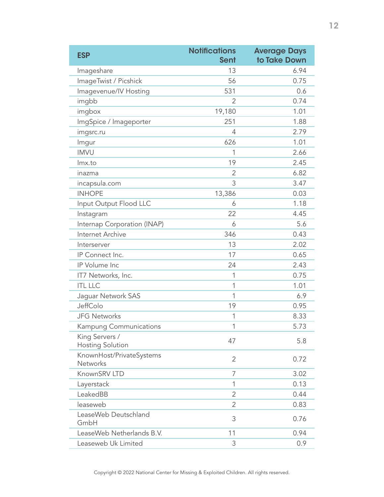| <b>ESP</b>                                | <b>Notifications</b><br><b>Sent</b> | <b>Average Days</b><br>to Take Down |
|-------------------------------------------|-------------------------------------|-------------------------------------|
| Imageshare                                | 13                                  | 6.94                                |
| ImageTwist / Picshick                     | 56                                  | 0.75                                |
| Imagevenue/IV Hosting                     | 531                                 | 0.6                                 |
| imgbb                                     | 2                                   | 0.74                                |
| imgbox                                    | 19,180                              | 1.01                                |
| ImgSpice / Imageporter                    | 251                                 | 1.88                                |
| imgsrc.ru                                 | 4                                   | 2.79                                |
| Imgur                                     | 626                                 | 1.01                                |
| <b>IMVU</b>                               | 1                                   | 2.66                                |
| Imx.to                                    | 19                                  | 2.45                                |
| inazma                                    | $\overline{2}$                      | 6.82                                |
| incapsula.com                             | 3                                   | 3.47                                |
| <b>INHOPE</b>                             | 13,386                              | 0.03                                |
| Input Output Flood LLC                    | 6                                   | 1.18                                |
| Instagram                                 | 22                                  | 4.45                                |
| Internap Corporation (INAP)               | 6                                   | 5.6                                 |
| Internet Archive                          | 346                                 | 0.43                                |
| Interserver                               | 13                                  | 2.02                                |
| IP Connect Inc.                           | 17                                  | 0.65                                |
| IP Volume Inc                             | 24                                  | 2.43                                |
| IT7 Networks, Inc.                        | 1                                   | 0.75                                |
| <b>ITL LLC</b>                            | 1                                   | 1.01                                |
| Jaguar Network SAS                        | 1                                   | 6.9                                 |
| JeffColo                                  | 19                                  | 0.95                                |
| <b>JFG Networks</b>                       | 1                                   | 8.33                                |
| Kampung Communications                    | 1                                   | 5.73                                |
| King Servers /<br><b>Hosting Solution</b> | 47                                  | 5.8                                 |
| KnownHost/PrivateSystems<br>Networks      | $\overline{2}$                      | 0.72                                |
| KnownSRV LTD                              | 7                                   | 3.02                                |
| Layerstack                                | 1                                   | 0.13                                |
| LeakedBB                                  | 2                                   | 0.44                                |
| leaseweb                                  | $\overline{2}$                      | 0.83                                |
| LeaseWeb Deutschland<br>GmbH              | 3                                   | 0.76                                |
| LeaseWeb Netherlands B.V.                 | 11                                  | 0.94                                |
| Leaseweb Uk Limited                       | 3                                   | 0.9                                 |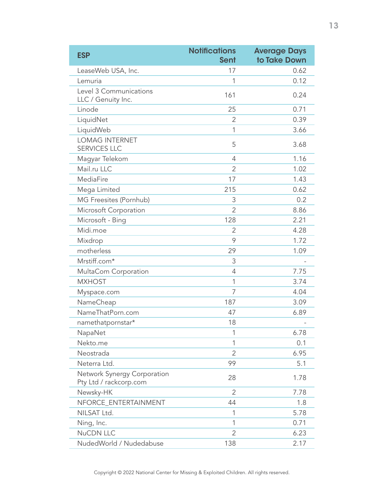| <b>ESP</b>                                            | <b>Notifications</b><br><b>Sent</b> | <b>Average Days</b><br>to Take Down |
|-------------------------------------------------------|-------------------------------------|-------------------------------------|
| LeaseWeb USA, Inc.                                    | 17                                  | 0.62                                |
| Lemuria                                               | 1                                   | 0.12                                |
| Level 3 Communications<br>LLC / Genuity Inc.          | 161                                 | 0.24                                |
| Linode                                                | 25                                  | 0.71                                |
| LiquidNet                                             | $\overline{2}$                      | 0.39                                |
| LiquidWeb                                             | 1                                   | 3.66                                |
| <b>LOMAG INTERNET</b><br><b>SERVICES LLC</b>          | 5                                   | 3.68                                |
| Magyar Telekom                                        | $\overline{4}$                      | 1.16                                |
| Mail.ru LLC                                           | $\overline{2}$                      | 1.02                                |
| MediaFire                                             | 17                                  | 1.43                                |
| Mega Limited                                          | 215                                 | 0.62                                |
| MG Freesites (Pornhub)                                | 3                                   | 0.2                                 |
| Microsoft Corporation                                 | $\overline{2}$                      | 8.86                                |
| Microsoft - Bing                                      | 128                                 | 2.21                                |
| Midi.moe                                              | $\overline{2}$                      | 4.28                                |
| Mixdrop                                               | 9                                   | 1.72                                |
| motherless                                            | 29                                  | 1.09                                |
| Mrstiff.com*                                          | 3                                   |                                     |
| MultaCom Corporation                                  | $\overline{4}$                      | 7.75                                |
| <b>MXHOST</b>                                         | 1                                   | 3.74                                |
| Myspace.com                                           | 7                                   | 4.04                                |
| NameCheap                                             | 187                                 | 3.09                                |
| NameThatPorn.com                                      | 47                                  | 6.89                                |
| namethatpornstar*                                     | 18                                  |                                     |
| NapaNet                                               | 1                                   | 6.78                                |
| Nekto.me                                              | 1                                   | 0.1                                 |
| Neostrada                                             | $\overline{2}$                      | 6.95                                |
| Neterra Ltd.                                          | 99                                  | 5.1                                 |
| Network Synergy Corporation<br>Pty Ltd / rackcorp.com | 28                                  | 1.78                                |
| Newsky-HK                                             | 2                                   | 7.78                                |
| NFORCE_ENTERTAINMENT                                  | 44                                  | 1.8                                 |
| NILSAT Ltd.                                           | 1                                   | 5.78                                |
| Ning, Inc.                                            | 1                                   | 0.71                                |
| <b>NuCDN LLC</b>                                      | $\overline{2}$                      | 6.23                                |
| NudedWorld / Nudedabuse                               | 138                                 | 2.17                                |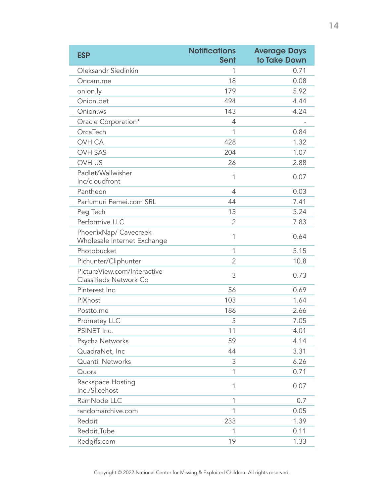| <b>ESP</b>                                            | <b>Notifications</b><br><b>Sent</b> | <b>Average Days</b><br>to Take Down |
|-------------------------------------------------------|-------------------------------------|-------------------------------------|
| Oleksandr Siedinkin                                   | 1                                   | 0.71                                |
| Oncam.me                                              | 18                                  | 0.08                                |
| onion.ly                                              | 179                                 | 5.92                                |
| Onion.pet                                             | 494                                 | 4.44                                |
| Onion.ws                                              | 143                                 | 4.24                                |
| Oracle Corporation*                                   | 4                                   |                                     |
| OrcaTech                                              | 1                                   | 0.84                                |
| OVH CA                                                | 428                                 | 1.32                                |
| <b>OVH SAS</b>                                        | 204                                 | 1.07                                |
| <b>OVH US</b>                                         | 26                                  | 2.88                                |
| Padlet/Wallwisher<br>Inc/cloudfront                   | 1                                   | 0.07                                |
| Pantheon                                              | 4                                   | 0.03                                |
| Parfumuri Femei.com SRL                               | 44                                  | 7.41                                |
| Peg Tech                                              | 13                                  | 5.24                                |
| Performive LLC                                        | $\overline{2}$                      | 7.83                                |
| PhoenixNap/ Cavecreek<br>Wholesale Internet Exchange  | 1                                   | 0.64                                |
| Photobucket                                           | 1                                   | 5.15                                |
| Pichunter/Cliphunter                                  | $\overline{2}$                      | 10.8                                |
| PictureView.com/Interactive<br>Classifieds Network Co | 3                                   | 0.73                                |
| Pinterest Inc.                                        | 56                                  | 0.69                                |
| PiXhost                                               | 103                                 | 1.64                                |
| Postto.me                                             | 186                                 | 2.66                                |
| Prometey LLC                                          | 5                                   | 7.05                                |
| PSINET Inc.                                           | 11                                  | 4.01                                |
| Psychz Networks                                       | 59                                  | 4.14                                |
| QuadraNet, Inc                                        | 44                                  | 3.31                                |
| Quantil Networks                                      | $\mathsf 3$                         | 6.26                                |
| Quora                                                 | 1                                   | 0.71                                |
| Rackspace Hosting<br>Inc./Slicehost                   | 1                                   | 0.07                                |
| RamNode LLC                                           | 1                                   | 0.7                                 |
| randomarchive.com                                     | 1                                   | 0.05                                |
| Reddit                                                | 233                                 | 1.39                                |
| Reddit.Tube                                           | 1                                   | 0.11                                |
| Redgifs.com                                           | 19                                  | 1.33                                |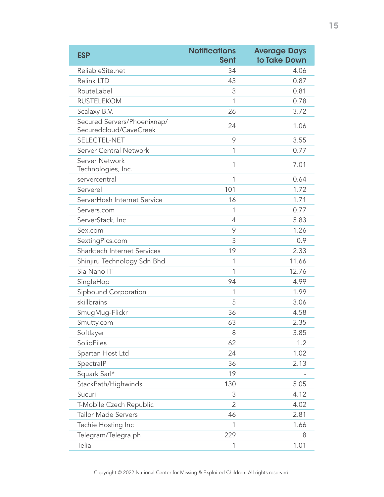| <b>ESP</b>                                            | <b>Notifications</b><br><b>Sent</b> | <b>Average Days</b><br>to Take Down |
|-------------------------------------------------------|-------------------------------------|-------------------------------------|
| ReliableSite.net                                      | 34                                  | 4.06                                |
| Relink LTD                                            | 43                                  | 0.87                                |
| RouteLabel                                            | 3                                   | 0.81                                |
| <b>RUSTELEKOM</b>                                     | 1                                   | 0.78                                |
| Scalaxy B.V.                                          | 26                                  | 3.72                                |
| Secured Servers/Phoenixnap/<br>Securedcloud/CaveCreek | 24                                  | 1.06                                |
| SELECTEL-NET                                          | 9                                   | 3.55                                |
| Server Central Network                                | 1                                   | 0.77                                |
| Server Network<br>Technologies, Inc.                  | 1                                   | 7.01                                |
| servercentral                                         | 1                                   | 0.64                                |
| Serverel                                              | 101                                 | 1.72                                |
| ServerHosh Internet Service                           | 16                                  | 1.71                                |
| Servers.com                                           | 1                                   | 0.77                                |
| ServerStack, Inc                                      | 4                                   | 5.83                                |
| Sex.com                                               | 9                                   | 1.26                                |
| SextingPics.com                                       | 3                                   | 0.9                                 |
| Sharktech Internet Services                           | 19                                  | 2.33                                |
| Shinjiru Technology Sdn Bhd                           | 1                                   | 11.66                               |
| Sia Nano IT                                           | 1                                   | 12.76                               |
| SingleHop                                             | 94                                  | 4.99                                |
| Sipbound Corporation                                  | 1                                   | 1.99                                |
| skillbrains                                           | 5                                   | 3.06                                |
| SmugMug-Flickr                                        | 36                                  | 4.58                                |
| Smutty.com                                            | 63                                  | 2.35                                |
| Softlayer                                             | 8                                   | 3.85                                |
| SolidFiles                                            | 62                                  | 1.2                                 |
| Spartan Host Ltd                                      | 24                                  | 1.02                                |
| SpectralP                                             | 36                                  | 2.13                                |
| Squark Sarl*                                          | 19                                  |                                     |
| StackPath/Highwinds                                   | 130                                 | 5.05                                |
| Sucuri                                                | 3                                   | 4.12                                |
| T-Mobile Czech Republic                               | 2                                   | 4.02                                |
| <b>Tailor Made Servers</b>                            | 46                                  | 2.81                                |
| Techie Hosting Inc                                    | 1                                   | 1.66                                |
| Telegram/Telegra.ph                                   | 229                                 | 8                                   |
| Telia                                                 | 1                                   | 1.01                                |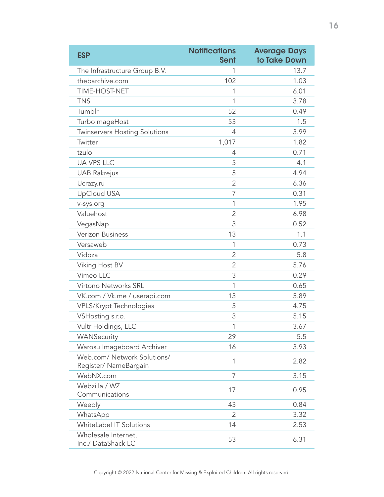| <b>ESP</b>                                           | <b>Notifications</b><br><b>Sent</b> | <b>Average Days</b><br>to Take Down |
|------------------------------------------------------|-------------------------------------|-------------------------------------|
| The Infrastructure Group B.V.                        | 1                                   | 13.7                                |
| thebarchive.com                                      | 102                                 | 1.03                                |
| TIME-HOST-NET                                        | 1                                   | 6.01                                |
| <b>TNS</b>                                           | 1                                   | 3.78                                |
| Tumblr                                               | 52                                  | 0.49                                |
| TurbolmageHost                                       | 53                                  | 1.5                                 |
| Twinservers Hosting Solutions                        | 4                                   | 3.99                                |
| Twitter                                              | 1,017                               | 1.82                                |
| tzulo                                                | 4                                   | 0.71                                |
| <b>UA VPS LLC</b>                                    | 5                                   | 4.1                                 |
| <b>UAB Rakrejus</b>                                  | 5                                   | 4.94                                |
| Ucrazy.ru                                            | 2                                   | 6.36                                |
| <b>UpCloud USA</b>                                   | 7                                   | 0.31                                |
| v-sys.org                                            | 1                                   | 1.95                                |
| Valuehost                                            | 2                                   | 6.98                                |
| VegasNap                                             | 3                                   | 0.52                                |
| Verizon Business                                     | 13                                  | 1.1                                 |
| Versaweb                                             | 1                                   | 0.73                                |
| Vidoza                                               | 2                                   | 5.8                                 |
| Viking Host BV                                       | $\overline{2}$                      | 5.76                                |
| Vimeo LLC                                            | 3                                   | 0.29                                |
| Virtono Networks SRL                                 | 1                                   | 0.65                                |
| VK.com / Vk.me / userapi.com                         | 13                                  | 5.89                                |
| <b>VPLS/Krypt Technologies</b>                       | 5                                   | 4.75                                |
| VSHosting s.r.o.                                     | 3                                   | 5.15                                |
| Vultr Holdings, LLC                                  | 1                                   | 3.67                                |
| WANSecurity                                          | 29                                  | 5.5                                 |
| Warosu Imageboard Archiver                           | 16                                  | 3.93                                |
| Web.com/ Network Solutions/<br>Register/ NameBargain | 1                                   | 2.82                                |
| WebNX.com                                            | 7                                   | 3.15                                |
| Webzilla / WZ<br>Communications                      | 17                                  | 0.95                                |
| Weebly                                               | 43                                  | 0.84                                |
| WhatsApp                                             | 2                                   | 3.32                                |
| WhiteLabel IT Solutions                              | 14                                  | 2.53                                |
| Wholesale Internet,<br>Inc./ DataShack LC            | 53                                  | 6.31                                |